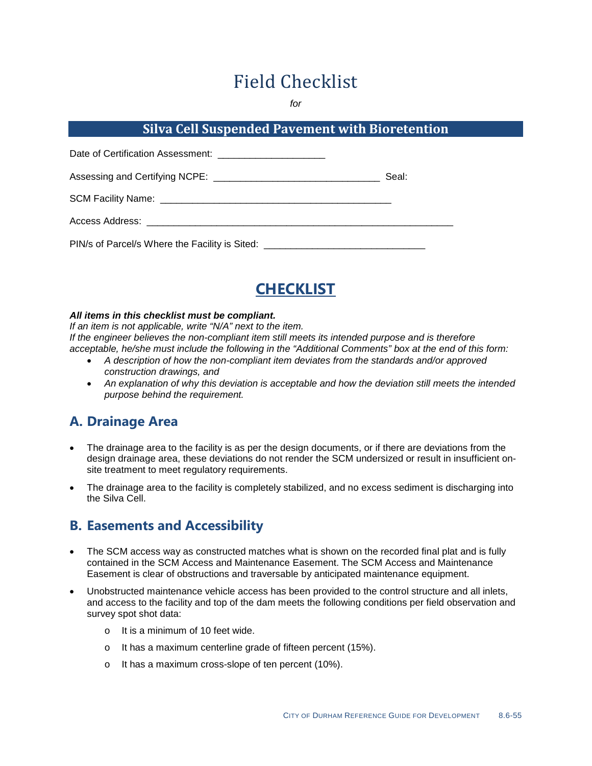# Field Checklist

*for*

### **Silva Cell Suspended Pavement with Bioretention**

| Date of Certification Assessment: __________________________                     |       |
|----------------------------------------------------------------------------------|-------|
|                                                                                  | Seal: |
|                                                                                  |       |
| Access Address: __________________________________                               |       |
| PIN/s of Parcel/s Where the Facility is Sited: _________________________________ |       |



#### *All items in this checklist must be compliant.*

*If an item is not applicable, write "N/A" next to the item. If the engineer believes the non-compliant item still meets its intended purpose and is therefore acceptable, he/she must include the following in the "Additional Comments" box at the end of this form:*

- *A description of how the non-compliant item deviates from the standards and/or approved construction drawings, and*
- *An explanation of why this deviation is acceptable and how the deviation still meets the intended purpose behind the requirement.*

## **A. Drainage Area**

- The drainage area to the facility is as per the design documents, or if there are deviations from the design drainage area, these deviations do not render the SCM undersized or result in insufficient onsite treatment to meet regulatory requirements.
- The drainage area to the facility is completely stabilized, and no excess sediment is discharging into the Silva Cell.

#### **B. Easements and Accessibility**

- The SCM access way as constructed matches what is shown on the recorded final plat and is fully contained in the SCM Access and Maintenance Easement. The SCM Access and Maintenance Easement is clear of obstructions and traversable by anticipated maintenance equipment.
- Unobstructed maintenance vehicle access has been provided to the control structure and all inlets, and access to the facility and top of the dam meets the following conditions per field observation and survey spot shot data:
	- o It is a minimum of 10 feet wide.
	- o It has a maximum centerline grade of fifteen percent (15%).
	- o It has a maximum cross-slope of ten percent (10%).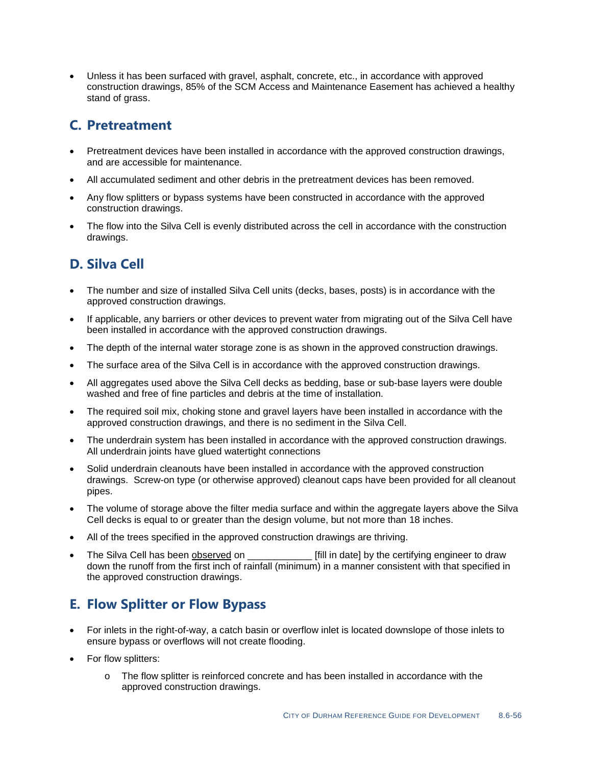• Unless it has been surfaced with gravel, asphalt, concrete, etc., in accordance with approved construction drawings, 85% of the SCM Access and Maintenance Easement has achieved a healthy stand of grass.

## **C. Pretreatment**

- Pretreatment devices have been installed in accordance with the approved construction drawings, and are accessible for maintenance.
- All accumulated sediment and other debris in the pretreatment devices has been removed.
- Any flow splitters or bypass systems have been constructed in accordance with the approved construction drawings.
- The flow into the Silva Cell is evenly distributed across the cell in accordance with the construction drawings.

## **D. Silva Cell**

- The number and size of installed Silva Cell units (decks, bases, posts) is in accordance with the approved construction drawings.
- If applicable, any barriers or other devices to prevent water from migrating out of the Silva Cell have been installed in accordance with the approved construction drawings.
- The depth of the internal water storage zone is as shown in the approved construction drawings.
- The surface area of the Silva Cell is in accordance with the approved construction drawings.
- All aggregates used above the Silva Cell decks as bedding, base or sub-base layers were double washed and free of fine particles and debris at the time of installation.
- The required soil mix, choking stone and gravel layers have been installed in accordance with the approved construction drawings, and there is no sediment in the Silva Cell.
- The underdrain system has been installed in accordance with the approved construction drawings. All underdrain joints have glued watertight connections
- Solid underdrain cleanouts have been installed in accordance with the approved construction drawings. Screw-on type (or otherwise approved) cleanout caps have been provided for all cleanout pipes.
- The volume of storage above the filter media surface and within the aggregate layers above the Silva Cell decks is equal to or greater than the design volume, but not more than 18 inches.
- All of the trees specified in the approved construction drawings are thriving.
- The Silva Cell has been observed on **Fill in date** by the certifying engineer to draw down the runoff from the first inch of rainfall (minimum) in a manner consistent with that specified in the approved construction drawings.

## **E. Flow Splitter or Flow Bypass**

- For inlets in the right-of-way, a catch basin or overflow inlet is located downslope of those inlets to ensure bypass or overflows will not create flooding.
- For flow splitters:
	- o The flow splitter is reinforced concrete and has been installed in accordance with the approved construction drawings.